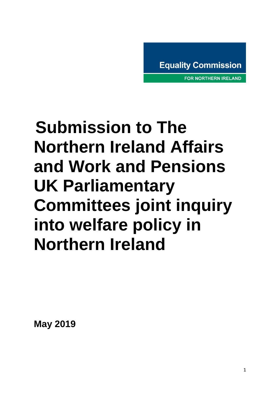**FOR NORTHERN IRELAND** 

# **Submission to The Northern Ireland Affairs and Work and Pensions UK Parliamentary Committees joint inquiry into welfare policy in Northern Ireland**

**May 2019**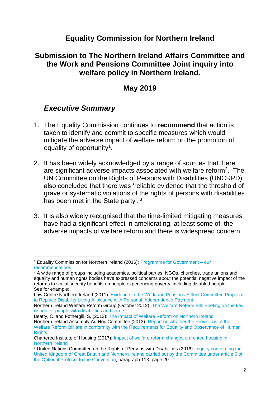### **Equality Commission for Northern Ireland**

## **Submission to The Northern Ireland Affairs Committee and the Work and Pensions Committee Joint inquiry into welfare policy in Northern Ireland.**

## **May 2019**

## *Executive Summary*

- 1. The Equality Commission continues to **recommend** that action is taken to identify and commit to specific measures which would mitigate the adverse impact of welfare reform on the promotion of equality of opportunity<sup>1</sup>.
- 2. It has been widely acknowledged by a range of sources that there are significant adverse impacts associated with welfare reform<sup>2</sup>. The UN Committee on the Rights of Persons with Disabilities (UNCRPD) also concluded that there was 'reliable evidence that the threshold of grave or systematic violations of the rights of persons with disabilities has been met in the State party'. <sup>3</sup>
- 3. It is also widely recognised that the time-limited mitigating measures have had a significant effect in ameliorating, at least some of, the adverse impacts of welfare reform and there is widespread concern

**<sup>.</sup>** <sup>1</sup> Equality Commission for Northern Ireland (2016): [Programme for Government –](https://www.equalityni.org/Delivering-Equality/Addressing-inequality/Welfare-Reform/Policy-responses) our [recommendations](https://www.equalityni.org/Delivering-Equality/Addressing-inequality/Welfare-Reform/Policy-responses)

<sup>&</sup>lt;sup>2</sup> A wide range of groups including academics, political parties, NGOs, churches, trade unions and equality and human rights bodies have expressed concerns about the potential negative impact of the reforms to social security benefits on people experiencing poverty, including disabled people. See for example:

Law Centre Northern Ireland (2011): [Evidence to the Work and Pensions Select Committee Proposal](https://publications.parliament.uk/pa/cm201012/cmselect/cmworpen/writev/1493/pip29.htm)  [to Replace Disability Living Allowance with Personal Independence Payment.](https://publications.parliament.uk/pa/cm201012/cmselect/cmworpen/writev/1493/pip29.htm) 

Northern Ireland Welfare Reform Group (October 2012): [The Welfare Reform Bill: Briefing on the key](http://www.niassembly.gov.uk/globalassets/documents/official-reports/social-dev/2012-2013/121030_briefingbynorthernirelandwelfarereformgroup.pdf)  [issues for people with disabilities and carers](http://www.niassembly.gov.uk/globalassets/documents/official-reports/social-dev/2012-2013/121030_briefingbynorthernirelandwelfarereformgroup.pdf)

Beatty, C. and Fothergill, S. (2013): [The Impact of Welfare Reform on Northern Ireland](https://www4.shu.ac.uk/research/cresr/sites/shu.ac.uk/files/impact-welfare-reform-ni.pdf) Northern Ireland Assembly Ad Hoc Committee (2013): [Report on whether the Provisions of the](http://www.niassembly.gov.uk/globalassets/documents/ad-hoc-welfare-reform-committee/report/report-on-the-provisions-of-the-welfare-reform-bill.pdf)  [Welfare Reform Bill are in conformity with the Requirements for Equality and Observance of Human](http://www.niassembly.gov.uk/globalassets/documents/ad-hoc-welfare-reform-committee/report/report-on-the-provisions-of-the-welfare-reform-bill.pdf)  **[Rights](http://www.niassembly.gov.uk/globalassets/documents/ad-hoc-welfare-reform-committee/report/report-on-the-provisions-of-the-welfare-reform-bill.pdf)** 

Chartered Institute of Housing (2017): [Impact of welfare reform changes on rented housing in](http://www.cih.org/resources/PDF/NI%20policy%20docs/Impact%20of%20welfare%20changes%20on%20rented%20housing%20NI.pdf)  [Northern Ireland](http://www.cih.org/resources/PDF/NI%20policy%20docs/Impact%20of%20welfare%20changes%20on%20rented%20housing%20NI.pdf)

<sup>&</sup>lt;sup>3</sup> United Nations Committee on the Rights of Persons with Disabilities (2016): Inquiry concerning the [United Kingdom of Great Britain and Northern Ireland carried out by the Committee under article 6 of](https://www.equalityni.org/ECNI/media/ECNI/Publications/Delivering%20Equality/UNCRPD-CommReport_on_UK.pdf)  [the Optional Protocol to the Convention,](https://www.equalityni.org/ECNI/media/ECNI/Publications/Delivering%20Equality/UNCRPD-CommReport_on_UK.pdf) paragraph 113, page 20.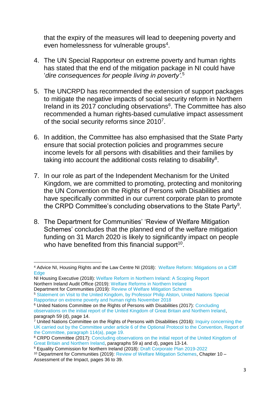that the expiry of the measures will lead to deepening poverty and even homelessness for vulnerable groups<sup>4</sup>.

- 4. The UN Special Rapporteur on extreme poverty and human rights has stated that the end of the mitigation package in NI could have '*dire consequences for people living in poverty'.*<sup>5</sup>
- 5. The UNCRPD has recommended the extension of support packages to mitigate the negative impacts of social security reform in Northern Ireland in its 2017 concluding observations<sup>6</sup>. The Committee has also recommended a human rights-based cumulative impact assessment of the social security reforms since 2010<sup>7</sup>.
- 6. In addition, the Committee has also emphasised that the State Party ensure that social protection policies and programmes secure income levels for all persons with disabilities and their families by taking into account the additional costs relating to disability $8$ .
- 7. In our role as part of the Independent Mechanism for the United Kingdom, we are committed to promoting, protecting and monitoring the UN Convention on the Rights of Persons with Disabilities and have specifically committed in our current corporate plan to promote the CRPD Committee's concluding observations to the State Party<sup>9</sup>.
- 8. The Department for Communities' 'Review of Welfare Mitigation Schemes' concludes that the planned end of the welfare mitigation funding on 31 March 2020 is likely to significantly impact on people who have benefited from this financial support<sup>10</sup>.

<sup>6</sup> United Nations Committee on the Rights of Persons with Disabilities (2017): [Concluding](https://www.equalityni.org/ECNI/media/ECNI/Publications/Delivering%20Equality/CRPD-ConcludingObservationsAug17.pdf)  [observations on the initial report of the United Kingdom of Great Britain and Northern Ireland,](https://www.equalityni.org/ECNI/media/ECNI/Publications/Delivering%20Equality/CRPD-ConcludingObservationsAug17.pdf) paragraph 59 (d), page 14.

<sup>1</sup> <sup>4</sup> Advice NI, Housing Rights and the Law Centre NI (2018): [Welfare Reform: Mitigations on a Cliff](https://www.adviceni.net/sites/default/files/publications/welfare_reform_mitigations_on_a_cliff_edge_report.pdf)  **[Edge](https://www.adviceni.net/sites/default/files/publications/welfare_reform_mitigations_on_a_cliff_edge_report.pdf)** 

NI Housing Executive (2018): [Welfare Reform in Northern Ireland: A Scoping Report](https://www.nihe.gov.uk/getmedia/2b5db9a7-6fd8-420c-9265-da85a29d70b0/welfare-reform-ni-a-scoping-report.pdf.aspx?ext=.pdf) Northern Ireland Audit Office (2019): [Welfare Reforms in Northern Ireland](https://www.niauditoffice.gov.uk/sites/niao/files/media-files/Welfare%20Reform%20Report%202019.pdf) Department for Communities (2019): [Review of Welfare Mitigation Schemes](https://www.communities-ni.gov.uk/system/files/publications/communities/dfc-review-of-welfare-mitigation-schemes-2019.pdf)

<sup>5</sup> [Statement on Visit to the United Kingdom, by Professor Philip Alston, United Nations Special](https://www.ohchr.org/en/NewsEvents/Pages/DisplayNews.aspx?NewsID=23881&LangID=E)  [Rapporteur on extreme poverty and human rights November 2018](https://www.ohchr.org/en/NewsEvents/Pages/DisplayNews.aspx?NewsID=23881&LangID=E)

 $7$  United Nations Committee on the Rights of Persons with Disabilities (2016): Inquiry concerning the [UK carried out by the Committee under article 6 of the Optional Protocol to the Convention, Report of](http://daccess-ods.un.org/access.nsf/Get?Open&DS=CRPD/C/15/4&Lang=E)  [the Committee,](http://daccess-ods.un.org/access.nsf/Get?Open&DS=CRPD/C/15/4&Lang=E) paragraph 114(a), page 19.

<sup>&</sup>lt;sup>8</sup> CRPD Committee (2017): Concluding observations on the initial report of the United Kingdom of [Great Britain and Northern Ireland,](https://www.equalityni.org/ECNI/media/ECNI/Publications/Delivering%20Equality/CRPD-ConcludingObservationsAug17.pdf) paragraphs 59 a) and d), pages 13-14.

<sup>9</sup> Equality Commission for Northern Ireland (2018): [Draft Corporate Plan 2019-2022](https://www.equalityni.org/ECNI/media/ECNI/Publications/Corporate/Misc/CorporatePlan2019-22ConsultativeDraft.pdf)

<sup>10</sup> Department for Communities (2019): [Review of Welfare Mitigation Schemes,](https://www.communities-ni.gov.uk/system/files/publications/communities/dfc-review-of-welfare-mitigation-schemes-2019.pdf) Chapter 10 – Assessment of the Impact, pages 36 to 39.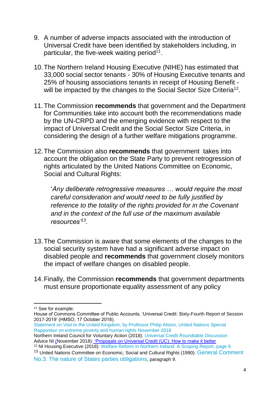- 9. A number of adverse impacts associated with the introduction of Universal Credit have been identified by stakeholders including, in particular, the five-week waiting period<sup>11</sup>.
- 10.The Northern Ireland Housing Executive (NIHE) has estimated that 33,000 social sector tenants - 30% of Housing Executive tenants and 25% of housing associations tenants in receipt of Housing Benefit will be impacted by the changes to the Social Sector Size Criteria<sup>12</sup>.
- 11.The Commission **recommends** that government and the Department for Communities take into account both the recommendations made by the UN-CRPD and the emerging evidence with respect to the impact of Universal Credit and the Social Sector Size Criteria, in considering the design of a further welfare mitigations programme.
- 12.The Commission also **recommends** that government takes into account the obligation on the State Party to prevent retrogression of rights articulated by the United Nations Committee on Economic, Social and Cultural Rights:

'*Any deliberate retrogressive measures … would require the most careful consideration and would need to be fully justified by reference to the totality of the rights provided for in the Covenant and in the context of the full use of the maximum available resources'<sup>13</sup> .*

- 13.The Commission is aware that some elements of the changes to the social security system have had a significant adverse impact on disabled people and **recommends** that government closely monitors the impact of welfare changes on disabled people.
- 14.Finally, the Commission **recommends** that government departments must ensure proportionate equality assessment of any policy

 $\overline{\phantom{a}}$ 

<sup>12</sup> NI Housing Executive (2018): [Welfare Reform in Northern Ireland: A Scoping Report,](https://www.nihe.gov.uk/getmedia/2b5db9a7-6fd8-420c-9265-da85a29d70b0/welfare-reform-ni-a-scoping-report.pdf.aspx?ext=.pdf) page 9. <sup>13</sup> United Nations Committee on Economic, Social and Cultural Rights (1990): General Comment [No.3: The nature of States parties obligations](https://tbinternet.ohchr.org/_layouts/15/treatybodyexternal/Download.aspx?symbolno=INT%2fCESCR%2fGEC%2f4758&Lang=en), paragraph 9.

<sup>11</sup> See for example:

House of Commons Committee of Public Accounts, 'Universal Credit: Sixty-Fourth Report of Session 2017-2019' (HMSO, 17 October 2018).

[Statement on Visit to the United Kingdom, by Professor Philip Alston, United Nations Special](https://www.ohchr.org/EN/NewsEvents/Pages/DisplayNews.aspx?NewsID=23881&LangID=E)  [Rapporteur on extreme poverty and human rights November 2018](https://www.ohchr.org/EN/NewsEvents/Pages/DisplayNews.aspx?NewsID=23881&LangID=E)

Northern Ireland Council for Voluntary Action (2018): [Universal Credit Roundtable Discussion](https://www.nicva.org/article/nicva-universal-credit-roundtable-dicussion) Advice NI (November 2018): 'Proposals on Universal Credit (UC): How to make it better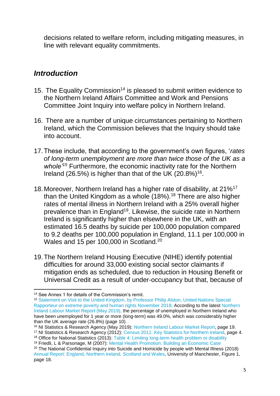decisions related to welfare reform, including mitigating measures, in line with relevant equality commitments.

## *Introduction*

- 15. The Equality Commission<sup>14</sup> is pleased to submit written evidence to the Northern Ireland Affairs Committee and Work and Pensions Committee Joint Inquiry into welfare policy in Northern Ireland.
- 16. There are a number of unique circumstances pertaining to Northern Ireland, which the Commission believes that the Inquiry should take into account.
- 17.These include, that according to the government's own figures, '*rates of long-term unemployment are more than twice those of the UK as a whole'<sup>15</sup>* Furthermore, the economic inactivity rate for the Northern Ireland (26.5%) is higher than that of the UK  $(20.8\%)$ <sup>16</sup>.
- 18.Moreover, Northern Ireland has a higher rate of disability, at 21%<sup>17</sup> than the United Kingdom as a whole (18%).<sup>18</sup> There are also higher rates of mental illness in Northern Ireland with a 25% overall higher prevalence than in England<sup>19</sup>. Likewise, the suicide rate in Northern Ireland is significantly higher than elsewhere in the UK, with an estimated 16.5 deaths by suicide per 100,000 population compared to 9.2 deaths per 100,000 population in England, 11.1 per 100,000 in Wales and 15 per 100,000 in Scotland.<sup>20</sup>
- 19.The Northern Ireland Housing Executive (NIHE) identify potential difficulties for around 33,000 existing social sector claimants if mitigation ends as scheduled, due to reduction in Housing Benefit or Universal Credit as a result of under-occupancy but that, because of

<sup>18</sup> Office for National Statistics (2013): [Table 4: Limiting long-term health problem or disability](https://www.ons.gov.uk/peoplepopulationandcommunity/populationandmigration/populationestimates/bulletins/keystatisticsandquickstatisticsforlocalauthoritiesintheunitedkingdom/2013-10-11#health) <sup>19</sup> Friedli, L & Parsonage, M (2007): [Mental Health Promotion: Building an Economic Case](http://www.chex.org.uk/media/resources/mental_health/Mental%20Health%20Promotion%20-%20Building%20an%20Economic%20Case.pdf)

**<sup>.</sup>** <sup>14</sup> See Annex 1 for details of the Commission's remit.

<sup>15</sup> [Statement on Visit to the United Kingdom, by Professor Philip Alston, United Nations Special](https://www.ohchr.org/en/NewsEvents/Pages/DisplayNews.aspx?NewsID=23881&LangID=E)  [Rapporteur on extreme poverty and human rights November 2018;](https://www.ohchr.org/en/NewsEvents/Pages/DisplayNews.aspx?NewsID=23881&LangID=E) According to the latest [Northern](https://www.nisra.gov.uk/system/files/statistics/labour-market-report-may-2019.PDF)  [Ireland Labour Market Report](https://www.nisra.gov.uk/system/files/statistics/labour-market-report-may-2019.PDF) (May 2019), the percentage of unemployed in Northern Ireland who have been unemployed for 1 year or more (long-term) was 49.0%, which was considerably higher than the UK average rate (26.8%) (page 10).

<sup>16</sup> NI Statistics & Research Agency (May 2019): [Northern Ireland Labour Market Report,](https://www.nisra.gov.uk/system/files/statistics/labour-market-report-may-2019.PDF) page 19.

<sup>17</sup> NI Statistics & Research Agency (2012): [Census 2011: Key Statistics for Northern Ireland,](https://www.nisra.gov.uk/sites/nisra.gov.uk/files/publications/2011-census-results-key-statistics-statistics-bulletin-11-december-2012.pdf) page 4.

<sup>&</sup>lt;sup>20</sup> The National Confidential Inquiry into Suicide and Homicide by people with Mental Illness (2018) [Annual Report: England, Northern Ireland, Scotland and Wales,](http://documents.manchester.ac.uk/display.aspx?DocID=38469) University of Manchester, Figure 1, page 18.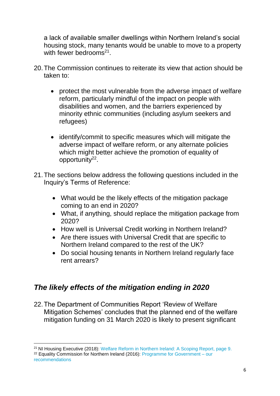a lack of available smaller dwellings within Northern Ireland's social housing stock, many tenants would be unable to move to a property with fewer bedrooms<sup>21</sup>.

- 20.The Commission continues to reiterate its view that action should be taken to:
	- protect the most vulnerable from the adverse impact of welfare reform, particularly mindful of the impact on people with disabilities and women, and the barriers experienced by minority ethnic communities (including asylum seekers and refugees)
	- identify/commit to specific measures which will mitigate the adverse impact of welfare reform, or any alternate policies which might better achieve the promotion of equality of opportunity<sup>22</sup>.
- 21.The sections below address the following questions included in the Inquiry's Terms of Reference:
	- What would be the likely effects of the mitigation package coming to an end in 2020?
	- What, if anything, should replace the mitigation package from 2020?
	- How well is Universal Credit working in Northern Ireland?
	- Are there issues with Universal Credit that are specific to Northern Ireland compared to the rest of the UK?
	- Do social housing tenants in Northern Ireland regularly face rent arrears?

# *The likely effects of the mitigation ending in 2020*

22.The Department of Communities Report 'Review of Welfare Mitigation Schemes' concludes that the planned end of the welfare mitigation funding on 31 March 2020 is likely to present significant

 $\overline{a}$ <sup>21</sup> NI Housing Executive (2018): [Welfare Reform in Northern Ireland: A Scoping Report,](https://www.nihe.gov.uk/getmedia/2b5db9a7-6fd8-420c-9265-da85a29d70b0/welfare-reform-ni-a-scoping-report.pdf.aspx?ext=.pdf) page 9. <sup>22</sup> Equality Commission for Northern Ireland (2016): [Programme for Government –](https://www.equalityni.org/Delivering-Equality/Addressing-inequality/Welfare-Reform/Policy-responses) our

[recommendations](https://www.equalityni.org/Delivering-Equality/Addressing-inequality/Welfare-Reform/Policy-responses)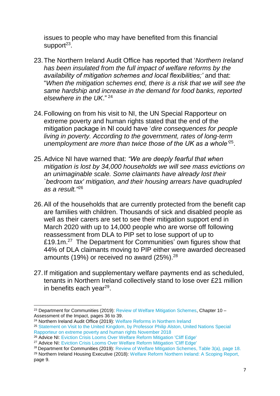issues to people who may have benefited from this financial support<sup>23</sup>.

- 23.The [Northern Ireland Audit Office h](https://www.niauditoffice.gov.uk/sites/niao/files/media-files/Welfare%20Reform%20Report%202019.pdf)as reported that '*Northern Ireland has been insulated from the full impact of welfare reforms by the availability of mitigation schemes and local flexibilities;'* and that: "*When the mitigation schemes end, there is a risk that we will see the same hardship and increase in the demand for food banks, reported elsewhere in the UK*." <sup>24</sup>
- 24.Following on from his visit to NI, the UN Special Rapporteur on extreme poverty and human rights stated that the end of the mitigation package in NI could have '*dire consequences for people living in poverty. According to the government, rates of long-term unemployment are more than twice those of the UK as a whole'*<sup>25</sup> .
- 25.Advice NI have warned that: *"We are deeply fearful that when mitigation is lost by 34,000 households we will see mass evictions on an unimaginable scale. Some claimants have already lost their `bedroom tax' mitigation, and their housing arrears have quadrupled as a result."*<sup>26</sup>
- 26.All of the households that are currently protected from the benefit cap are families with children. Thousands of sick and disabled people as well as their carers are set to see their mitigation support end in March 2020 with up to 14,000 people who are worse off following reassessment from DLA to PIP set to lose support of up to £19.1m.<sup>27</sup> The Department for Communities' own figures show that 44% of DLA claimants moving to PIP either were awarded decreased amounts (19%) or received no award (25%). $28$
- 27.If mitigation and supplementary welfare payments end as scheduled, tenants in Northern Ireland collectively stand to lose over £21 million in benefits each year<sup>29</sup>.

**<sup>.</sup>** <sup>23</sup> Department for Communities (2019): [Review of Welfare Mitigation Schemes,](https://www.communities-ni.gov.uk/system/files/publications/communities/dfc-review-of-welfare-mitigation-schemes-2019.pdf) Chapter 10 – Assessment of the Impact, pages 36 to 39.

<sup>24</sup> Northern Ireland Audit Office (2019): [Welfare Reforms in Northern Ireland](https://www.niauditoffice.gov.uk/sites/niao/files/media-files/Welfare%20Reform%20Report%202019.pdf)

<sup>&</sup>lt;sup>25</sup> Statement on Visit to the United Kingdom, by Professor Philip Alston, United Nations Special [Rapporteur on extreme poverty and human rights November 2018](https://www.ohchr.org/en/NewsEvents/Pages/DisplayNews.aspx?NewsID=23881&LangID=E)

<sup>26</sup> Advice NI: [Eviction Crisis Looms Over Welfare Reform Mitigation 'Cliff Edge'](https://www.adviceni.net/blog/eviction-crisis-looms-over-welfare-reform-mitigation-cliff-edge)

<sup>27</sup> Advice NI: [Eviction Crisis Looms Over Welfare Reform Mitigation 'Cliff Edge'](https://www.adviceni.net/blog/eviction-crisis-looms-over-welfare-reform-mitigation-cliff-edge)

<sup>&</sup>lt;sup>28</sup> Department for Communities (2019): [Review of Welfare Mitigation Schemes,](https://www.communities-ni.gov.uk/system/files/publications/communities/dfc-review-of-welfare-mitigation-schemes-2019.pdf) Table 3(a), page 18.

<sup>29</sup> Northern Ireland Housing Executive (2018): [Welfare Reform Northern Ireland: A Scoping Report,](https://www.nihe.gov.uk/getmedia/2b5db9a7-6fd8-420c-9265-da85a29d70b0/welfare-reform-ni-a-scoping-report.pdf.aspx?ext=.pdf) page 9.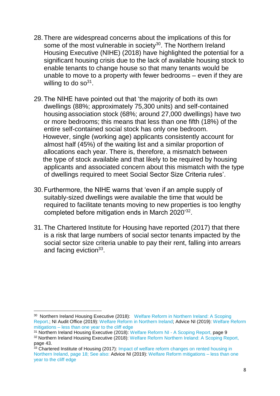- 28.There are widespread concerns about the implications of this for some of the most vulnerable in society<sup>30</sup>. The Northern Ireland Housing Executive (NIHE) (2018) have highlighted the potential for a significant housing crisis due to the lack of available housing stock to enable tenants to change house so that many tenants would be unable to move to a property with fewer bedrooms – even if they are willing to do so $31$ .
- 29.The NIHE have pointed out that 'the majority of both its own dwellings (88%; approximately 75,300 units) and self-contained housing association stock (68%; around 27,000 dwellings) have two or more bedrooms; this means that less than one fifth (18%) of the entire self-contained social stock has only one bedroom. However, single (working age) applicants consistently account for almost half (45%) of the waiting list and a similar proportion of allocations each year. There is, therefore, a mismatch between the type of stock available and that likely to be required by housing applicants and associated concern about this mismatch with the type of dwellings required to meet Social Sector Size Criteria rules'.
- 30.Furthermore, the NIHE warns that 'even if an ample supply of suitably-sized dwellings were available the time that would be required to facilitate tenants moving to new properties is too lengthy completed before mitigation ends in March 2020'<sup>32</sup>.
- 31.The Chartered Institute for Housing have reported (2017) that there is a risk that large numbers of social sector tenants impacted by the social sector size criteria unable to pay their rent, falling into arrears and facing eviction<sup>33</sup>.

 $\overline{a}$ 

<sup>&</sup>lt;sup>30</sup> Northern Ireland Housing Executive (2018): Welfare Reform in Northern Ireland: A Scoping [Report.](https://www.nihe.gov.uk/getmedia/2b5db9a7-6fd8-420c-9265-da85a29d70b0/welfare-reform-ni-a-scoping-report.pdf.aspx?ext=.pdf); NI Audit Office (2019): [Welfare Reform in Northern Ireland;](https://www.niauditoffice.gov.uk/sites/niao/files/media-files/Welfare%20Reform%20Report%202019.pdf) Advice NI (2019): [Welfare Reform](https://www.adviceni.net/blog/welfare-reform-mitigations-less-1-year-cliff-edge)  mitigations – [less than one year to the cliff edge](https://www.adviceni.net/blog/welfare-reform-mitigations-less-1-year-cliff-edge)

<sup>&</sup>lt;sup>31</sup> Northern Ireland Housing Executive (2018): [Welfare Reform NI -](https://www.nihe.gov.uk/getmedia/2b5db9a7-6fd8-420c-9265-da85a29d70b0/welfare-reform-ni-a-scoping-report.pdf.aspx?ext=.pdf) A Scoping Report, page 9

<sup>32</sup> Northern Ireland Housing Executive (2018): Welfare Reform [Northern Ireland: A Scoping Report,](https://www.nihe.gov.uk/getmedia/2b5db9a7-6fd8-420c-9265-da85a29d70b0/welfare-reform-ni-a-scoping-report.pdf.aspx?ext=.pdf) page 43.

<sup>33</sup> Chartered Institute of Housing (2017): Impact of welfare reform changes on rented housing in [Northern Ireland,](http://www.cih.org/resources/PDF/NI%20policy%20docs/Impact%20of%20welfare%20changes%20on%20rented%20housing%20NI.pdf) page 18; See also: Advice NI (2019): [Welfare Reform mitigations –](https://www.adviceni.net/blog/welfare-reform-mitigations-less-1-year-cliff-edge) less than one [year to the cliff edge](https://www.adviceni.net/blog/welfare-reform-mitigations-less-1-year-cliff-edge)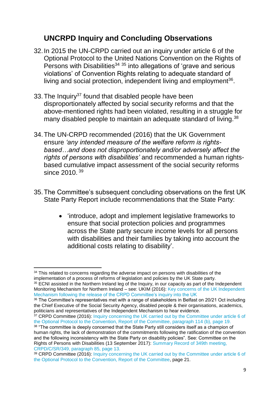## **UNCRPD Inquiry and Concluding Observations**

- 32.In 2015 the UN-CRPD carried out an inquiry under article 6 of the Optional Protocol to the United Nations Convention on the Rights of Persons with Disabilities<sup>34</sup>  $35$  into allegations of 'grave and serious violations' of Convention Rights relating to adequate standard of living and social protection, independent living and employment<sup>36</sup>.
- 33. The Inquiry<sup>37</sup> found that disabled people have been disproportionately affected by social security reforms and that the above-mentioned rights had been violated, resulting in a struggle for many disabled people to maintain an adequate standard of living.<sup>38</sup>
- 34.The UN-CRPD recommended (2016) that the UK Government ensure *'any intended measure of the welfare reform is rightsbased…and does not disproportionately and/or adversely affect the rights of persons with disabilities'* and recommended a human rightsbased cumulative impact assessment of the social security reforms since 2010.<sup>39</sup>
- 35.The Committee's subsequent concluding observations on the first UK State Party Report include recommendations that the State Party:
	- 'introduce, adopt and implement legislative frameworks to ensure that social protection policies and programmes across the State party secure income levels for all persons with disabilities and their families by taking into account the additional costs relating to disability'.

<sup>1</sup> <sup>34</sup> This related to concerns regarding the adverse impact on persons with disabilities of the implementation of a process of reforms of legislation and policies by the UK State party.

<sup>&</sup>lt;sup>35</sup> ECNI assisted in the Northern Ireland leg of the Inquiry, in our capacity as part of the Independent Monitoring Mechanism for Northern Ireland – see: UKIM (2016): [Key concerns of the UK Independent](http://www.equalityni.org/ECNI/media/ECNI/Publications/Delivering%20Equality/UNCRPD-UKIM_KeyConcerns.pdf)  [Mechanism following the release of the CRPD Committee's inquiry into the UK](http://www.equalityni.org/ECNI/media/ECNI/Publications/Delivering%20Equality/UNCRPD-UKIM_KeyConcerns.pdf) 

<sup>36</sup> The Committee's representatives met with a range of stakeholders in Belfast on 20/21 Oct including the Chief Executive of the Social Security Agency, disabled people & their organisations, academics, politicians and representatives of the Independent Mechanism to hear evidence.

<sup>&</sup>lt;sup>37</sup> CRPD Committee (2016): [Inquiry concerning the UK carried out by the Committee under article 6 of](http://daccess-ods.un.org/access.nsf/Get?Open&DS=CRPD/C/15/4&Lang=E) [the Optional Protocol to the Convention, Report of the Committee,](http://daccess-ods.un.org/access.nsf/Get?Open&DS=CRPD/C/15/4&Lang=E) paragraph 114 (b), page 19.

<sup>38 &</sup>quot;The committee is deeply concerned that the State Party still considers itself as a champion of human rights, the lack of demonstration of the commitments following the ratification of the convention and the following inconsistency with the State Party on disability policies". See: Committee on the Rights of Persons with Disabilities (13 September 2017): [Summary Record of 349th meeting,](https://tbinternet.ohchr.org/_layouts/treatybodyexternal/Download.aspx?symbolno=CRPD%2fC%2fSR.349&Lang=en) CRPD/C/SR/349, paragraph 85, page 13.

<sup>39</sup> CRPD Committee (2016): [Inquiry concerning the UK carried out by the Committee under article 6 of](http://daccess-ods.un.org/access.nsf/Get?Open&DS=CRPD/C/15/4&Lang=E)  [the Optional Protocol to the Convention, Report of the Committee,](http://daccess-ods.un.org/access.nsf/Get?Open&DS=CRPD/C/15/4&Lang=E) page 21.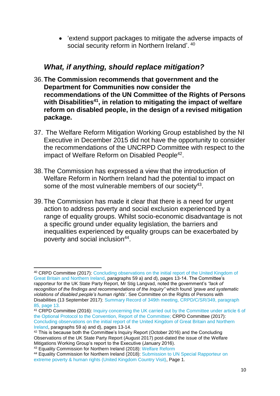'extend support packages to mitigate the adverse impacts of social security reform in Northern Ireland'. <sup>40</sup>

#### *What, if anything, should replace mitigation?*

- 36.**The Commission recommends that government and the Department for Communities now consider the recommendations of the UN Committee of the Rights of Persons with Disabilities<sup>41</sup>, in relation to mitigating the impact of welfare reform on disabled people, in the design of a revised mitigation package.**
- 37. The Welfare Reform Mitigation Working Group established by the NI Executive in December 2015 did not have the opportunity to consider the recommendations of the UNCRPD Committee with respect to the impact of Welfare Reform on Disabled People<sup>42</sup>.
- 38.The Commission has expressed a view that the introduction of Welfare Reform in Northern Ireland had the potential to impact on some of the most vulnerable members of our society $43$ .
- 39.The Commission has made it clear that there is a need for urgent action to address poverty and social exclusion experienced by a range of equality groups. Whilst socio-economic disadvantage is not a specific ground under equality legislation, the barriers and inequalities experienced by equality groups can be exacerbated by poverty and social inclusion<sup>44</sup>.

1

<sup>40</sup> CRPD Committee (2017): [Concluding observations on the initial report of the United Kingdom of](https://www.equalityni.org/ECNI/media/ECNI/Publications/Delivering%20Equality/CRPD-ConcludingObservationsAug17.pdf)  [Great Britain and Northern Ireland,](https://www.equalityni.org/ECNI/media/ECNI/Publications/Delivering%20Equality/CRPD-ConcludingObservationsAug17.pdf) paragraphs 59 a) and d), pages 13-14. The Committee's rapporteur for the UK State Party Report, Mr Stig Langvad, noted the government's *"lack of recognition of the findings and recommendations of the Inquiry"* which found *'grave and systematic violations of disabled people's human rights'*. See Committee on the Rights of Persons with Disabilities (13 September 2017): [Summary Record of 349th meeting,](https://tbinternet.ohchr.org/_layouts/treatybodyexternal/Download.aspx?symbolno=CRPD%2fC%2fSR.349&Lang=en) CRPD/C/SR/349, paragraph 85, page 13.

<sup>41</sup> CRPD Committee (2016): [Inquiry concerning the UK carried out by the Committee under article 6 of](http://daccess-ods.un.org/access.nsf/Get?Open&DS=CRPD/C/15/4&Lang=E)  [the Optional Protocol to the Convention, Report of the Committee;](http://daccess-ods.un.org/access.nsf/Get?Open&DS=CRPD/C/15/4&Lang=E) CRPD Committee (2017): [Concluding observations on the initial report of the United Kingdom of Great Britain and Northern](https://www.equalityni.org/ECNI/media/ECNI/Publications/Delivering%20Equality/CRPD-ConcludingObservationsAug17.pdf)  [Ireland,](https://www.equalityni.org/ECNI/media/ECNI/Publications/Delivering%20Equality/CRPD-ConcludingObservationsAug17.pdf) paragraphs 59 a) and d), pages 13-14.

<sup>&</sup>lt;sup>42</sup> This is because both the Committee's Inquiry Report (October 2016) and the Concluding Observations of the UK State Party Report (August 2017) post-dated the issue of the Welfare Mitigations Working Group's report to the Executive (January 2016).

<sup>43</sup> Equality Commission for Northern Ireland (2018): [Welfare Reform](https://www.equalityni.org/WelfareReform)

<sup>44</sup> Equality Commission for Northern Ireland (2018): Submission to UN Special Rapporteur on [extreme poverty & human rights \(United Kingdom Country Visit\),](https://www.equalityni.org/ECNI/media/ECNI/Publications/Delivering%20Equality/UNSpecialRappPoverty-Sept2018.pdf) Page 1.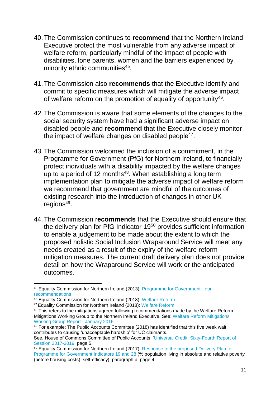- 40.The Commission continues to **recommend** that the Northern Ireland Executive protect the most vulnerable from any adverse impact of welfare reform, particularly mindful of the impact of people with disabilities, lone parents, women and the barriers experienced by minority ethnic communities<sup>45</sup>.
- 41.The Commission also **recommends** that the Executive identify and commit to specific measures which will mitigate the adverse impact of welfare reform on the promotion of equality of opportunity<sup>46</sup>.
- 42.The Commission is aware that some elements of the changes to the social security system have had a significant adverse impact on disabled people and **recommend** that the Executive closely monitor the impact of welfare changes on disabled people<sup>47</sup>.
- 43.The Commission welcomed the inclusion of a commitment, in the Programme for Government (PfG) for Northern Ireland, to financially protect individuals with a disability impacted by the welfare changes up to a period of 12 months $48$ . When establishing a long term implementation plan to mitigate the adverse impact of welfare reform we recommend that government are mindful of the outcomes of existing research into the introduction of changes in other UK regions<sup>49</sup>.
- 44.The Commission r**ecommends** that the Executive should ensure that the delivery plan for PfG Indicator 19<sup>50</sup> provides sufficient information to enable a judgement to be made about the extent to which the proposed holistic Social Inclusion Wraparound Service will meet any needs created as a result of the expiry of the welfare reform mitigation measures. The current draft delivery plan does not provide detail on how the Wraparound Service will work or the anticipated outcomes.

1

<sup>45</sup> Equality Commission for Northern Ireland (2013): [Programme for Government -](https://www.equalityni.org/Delivering-Equality/Addressing-inequality/Welfare-Reform/Policy-responses) our [recommendations](https://www.equalityni.org/Delivering-Equality/Addressing-inequality/Welfare-Reform/Policy-responses)

<sup>46</sup> Equality Commission for Northern Ireland (2018): [Welfare Reform](https://www.equalityni.org/WelfareReform)

<sup>47</sup> Equality Commission for Northern Ireland (2018): [Welfare Reform](https://www.equalityni.org/WelfareReform)

<sup>48</sup> This refers to the mitigations agreed following recommendations made by the Welfare Reform Mitigations Working Group to the Northern Ireland Executive. See: [Welfare Reform Mitigations](https://www.executiveoffice-ni.gov.uk/sites/default/files/publications/ofmdfm/welfare-reform-mitigations-working-group-report.pdf)  [Working Group Report -](https://www.executiveoffice-ni.gov.uk/sites/default/files/publications/ofmdfm/welfare-reform-mitigations-working-group-report.pdf) January 2016

<sup>49</sup> For example: The Public Accounts Committee (2018) has identified that this five week wait contributes to causing 'unacceptable hardship' for UC claimants.

See, House of Commons Committee of Public Accounts, ['Universal Credit: Sixty-Fourth Report of](https://publications.parliament.uk/pa/cm201719/cmselect/cmpubacc/1183/1183.pdf)  [Session 2017-2019,](https://publications.parliament.uk/pa/cm201719/cmselect/cmpubacc/1183/1183.pdf) page 5.

<sup>&</sup>lt;sup>50</sup> Equality Commission for Northern Ireland (2017): Response to the proposed Delivery Plan for [Programme for Government Indicators 19 and 28](http://www.equalityni.org/ECNI/media/ECNI/Consultation%20Responses/2017/PfG-DeliveryPlan-19-28-PovertySelfEfficacy.pdf) (% population living in absolute and relative poverty (before housing costs); self-efficacy), paragraph p, page 4.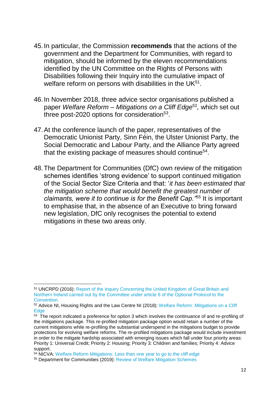- 45.In particular, the Commission **recommends** that the actions of the government and the Department for Communities, with regard to mitigation, should be informed by the eleven recommendations identified by the UN Committee on the Rights of Persons with Disabilities following their Inquiry into the cumulative impact of welfare reform on persons with disabilities in the UK $51$ .
- 46.In November 2018, three advice sector organisations published a paper *Welfare Reform – Mitigations on a Cliff Edge*<sup>52</sup> *,* which set out three post-2020 options for consideration<sup>53</sup>.
- 47.At the conference launch of the paper, representatives of the Democratic Unionist Party, Sinn Féin, the Ulster Unionist Party, the Social Democratic and Labour Party, and the Alliance Party agreed that the existing package of measures should continue<sup>54</sup>.
- 48.The Department for Communities (DfC) own review of the mitigation schemes identifies 'strong evidence' to support continued mitigation of the Social Sector Size Criteria and that: '*it has been estimated that the mitigation scheme that would benefit the greatest number of claimants, were it to continue is for the Benefit Cap."*<sup>55</sup> It is important to emphasise that, in the absence of an Executive to bring forward new legislation, DfC only recognises the potential to extend mitigations in these two areas only.

1

<sup>51</sup> UNCRPD (2016): [Report of the Inquiry Concerning the United Kingdom of Great Britain and](http://www.ohchr.org/EN/HRBodies/CRPD/Pages/InquiryProcedure.aspx)  [Northern Ireland carried out by the Committee under article 6 of the Optional Protocol to the](http://www.ohchr.org/EN/HRBodies/CRPD/Pages/InquiryProcedure.aspx)  [Convention.](http://www.ohchr.org/EN/HRBodies/CRPD/Pages/InquiryProcedure.aspx)

<sup>52</sup> Advice NI, Housing Rights and the Law Centre NI (2018): [Welfare Reform: Mitigations on a Cliff](https://www.adviceni.net/sites/default/files/publications/welfare_reform_mitigations_on_a_cliff_edge_report.pdf)  **[Edge](https://www.adviceni.net/sites/default/files/publications/welfare_reform_mitigations_on_a_cliff_edge_report.pdf)** 

<sup>&</sup>lt;sup>53</sup> The report indicated a preference for option 3 which involves the continuance of and re-profiling of the mitigations package. This re-profiled mitigation package option would retain a number of the current mitigations while re-profiling the substantial underspend in the mitigations budget to provide protections for evolving welfare reforms. The re-profiled mitigations package would include investment in order to the mitigate hardship associated with emerging issues which fall under four priority areas: Priority 1: Universal Credit; Priority 2: Housing; Priority 3: Children and families; Priority 4: Advice support.

<sup>54</sup> NICVA: [Welfare Reform Mitigations: Less than one year to go to the cliff edge](https://www.nicva.org/article/welfare-reform-mitigations-less-than-1-year-to-cliffedge)

<sup>55</sup> Department for Communities (2019): [Review of Welfare Mitigation Schemes](https://www.communities-ni.gov.uk/system/files/publications/communities/dfc-review-of-welfare-mitigation-schemes-2019.pdf)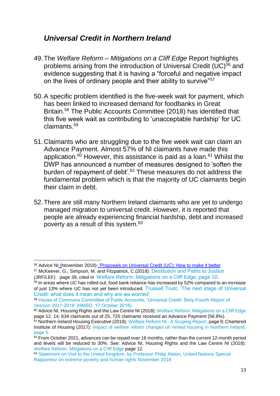### *Universal Credit in Northern Ireland*

- 49.The *Welfare Reform – Mitigations on a Cliff Edge* Report highlights problems arising from the introduction of Universal Credit  $(UC)^{56}$  and evidence suggesting that it is having a "forceful and negative impact on the lives of ordinary people and their ability to survive<sup>"57</sup>
- 50.A specific problem identified is the five-week wait for payment, which has been linked to increased demand for foodbanks in Great Britain.<sup>58</sup> The Public Accounts Committee (2018) has identified that this five week wait as contributing to 'unacceptable hardship' for UC claimants.<sup>59</sup>
- 51.Claimants who are struggling due to the five week wait can claim an Advance Payment. Almost 57% of NI claimants have made this application.<sup>60</sup> However, this assistance is paid as a loan.<sup>61</sup> Whilst the DWP has announced a number of measures designed to 'soften the burden of repayment of debt'.<sup>62</sup> These measures do not address the fundamental problem which is that the majority of UC claimants begin their claim in debt.
- 52.There are still many Northern Ireland claimants who are yet to undergo managed migration to universal credit. However, it is reported that people are already experiencing financial hardship, debt and increased poverty as a result of this system.<sup>63</sup>

1

<sup>57</sup> McKeever, G., Simpson, M. and Fitzpatrick, C.(2018): [Destitution and Paths to Justice](https://research.thelegaleducationfoundation.org/wp-content/uploads/2018/06/Destitution-Report-Final-Full-.pdf)  [\(JRF/LEF\)](https://research.thelegaleducationfoundation.org/wp-content/uploads/2018/06/Destitution-Report-Final-Full-.pdf) page 39, cited in [Welfare Reform: Mitigations on a Cliff Edge,](https://www.adviceni.net/sites/default/files/publications/welfare_reform_mitigations_on_a_cliff_edge_report.pdf) page 10.

<sup>56</sup> Advice NI (November 2018): ['Proposals on Universal Credit \(UC\): How to make it better](http://www.adviceni.net/sites/default/files/publications/making_uc_better.pdf) 

 $58$  In areas where UC has rolled out, food bank reliance has increased by 52% compared to an increase of just 13% where UC has not yet been introduced. [Trussell Trust, 'The next stage of Universal](https://www.trusselltrust.org/what-we-do/research-advocacy/next-stage-universal-credit/)  [Credit: what does it mean and why are we worried'](https://www.trusselltrust.org/what-we-do/research-advocacy/next-stage-universal-credit/) 

<sup>59</sup> [House of Commons Committee of Public Accounts, 'Universal Credit: Sixty-Fourth Report of](https://publications.parliament.uk/pa/cm201719/cmselect/cmpubacc/1183/1183.pdf)  [Session 2017-2019' \(HMSO, 17 October 2018\).](https://publications.parliament.uk/pa/cm201719/cmselect/cmpubacc/1183/1183.pdf) 

<sup>60</sup> Advice NI, Housing Rights and the Law Centre NI (2018): [Welfare Reform: Mitigations on a Cliff Edge](https://www.adviceni.net/sites/default/files/publications/welfare_reform_mitigations_on_a_cliff_edge_report.pdf) page 12. 14, 634 claimants out of 25, 725 claimants received an Advance Payment (56.8%).

<sup>&</sup>lt;sup>61</sup> Northern Ireland Housing Executive (2018): [Welfare Reform NI -](https://www.nihe.gov.uk/getmedia/2b5db9a7-6fd8-420c-9265-da85a29d70b0/welfare-reform-ni-a-scoping-report.pdf.aspx?ext=.pdf) A Scoping Report, page 9; Chartered Institute of Housing (2017): [Impact of welfare reform changes on rented housing in Northern Ireland,](http://www.cih.org/resources/PDF/NI%20policy%20docs/Impact%20of%20welfare%20changes%20on%20rented%20housing%20NI.pdf) page 5.

 $62$  From October 2021, advances can be repaid over 16 months, rather than the current 12-month period and levels will be reduced to 30%. See: Advice NI, Housing Rights and the Law Centre NI (2018): [Welfare Reform: Mitigations on a Cliff Edge](https://www.adviceni.net/sites/default/files/publications/welfare_reform_mitigations_on_a_cliff_edge_report.pdf) page 12.

<sup>63</sup> [Statement on Visit to the United Kingdom, by Professor Philip Alston, United Nations Special](https://www.ohchr.org/EN/NewsEvents/Pages/DisplayNews.aspx?NewsID=23881&LangID=E)  [Rapporteur on extreme poverty and human rights November 2018](https://www.ohchr.org/EN/NewsEvents/Pages/DisplayNews.aspx?NewsID=23881&LangID=E)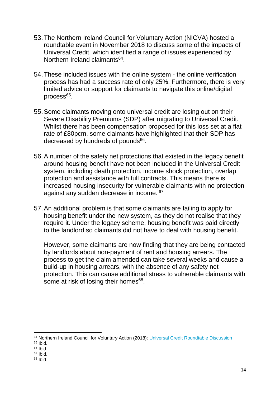- 53.The Northern Ireland Council for Voluntary Action (NICVA) hosted a roundtable event in November 2018 to discuss some of the impacts of Universal Credit, which identified a range of issues experienced by Northern Ireland claimants<sup>64</sup>.
- 54.These included issues with the online system the online verification process has had a success rate of only 25%. Furthermore, there is very limited advice or support for claimants to navigate this online/digital process<sup>65</sup>.
- 55.Some claimants moving onto universal credit are losing out on their Severe Disability Premiums (SDP) after migrating to Universal Credit. Whilst there has been compensation proposed for this loss set at a flat rate of £80pcm, some claimants have highlighted that their SDP has decreased by hundreds of pounds<sup>66</sup>.
- 56.A number of the safety net protections that existed in the legacy benefit around housing benefit have not been included in the Universal Credit system, including death protection, income shock protection, overlap protection and assistance with full contracts. This means there is increased housing insecurity for vulnerable claimants with no protection against any sudden decrease in income. 67
- 57.An additional problem is that some claimants are failing to apply for housing benefit under the new system, as they do not realise that they require it. Under the legacy scheme, housing benefit was paid directly to the landlord so claimants did not have to deal with housing benefit.

However, some claimants are now finding that they are being contacted by landlords about non-payment of rent and housing arrears. The process to get the claim amended can take several weeks and cause a build-up in housing arrears, with the absence of any safety net protection. This can cause additional stress to vulnerable claimants with some at risk of losing their homes<sup>68</sup>.

1

<sup>68</sup> Ibid.

<sup>64</sup> Northern Ireland Council for Voluntary Action (2018): [Universal Credit Roundtable Discussion](https://www.nicva.org/article/nicva-universal-credit-roundtable-dicussion)

<sup>65</sup> Ibid.

<sup>66</sup> Ibid.

<sup>67</sup> Ibid.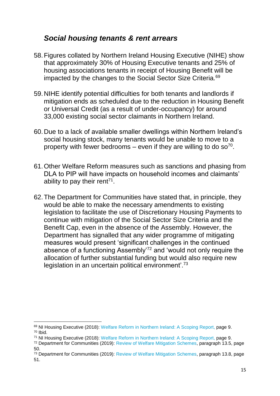#### *Social housing tenants & rent arrears*

- 58.Figures collated by Northern Ireland Housing Executive (NIHE) show that approximately 30% of Housing Executive tenants and 25% of housing associations tenants in receipt of Housing Benefit will be impacted by the changes to the Social Sector Size Criteria*.* 69
- 59.NIHE identify potential difficulties for both tenants and landlords if mitigation ends as scheduled due to the reduction in Housing Benefit or Universal Credit (as a result of under-occupancy) for around 33,000 existing social sector claimants in Northern Ireland.
- 60.Due to a lack of available smaller dwellings within Northern Ireland's social housing stock, many tenants would be unable to move to a property with fewer bedrooms – even if they are willing to do so<sup>70</sup>.
- 61.Other Welfare Reform measures such as sanctions and phasing from DLA to PIP will have impacts on household incomes and claimants' ability to pay their rent<sup>71</sup>.
- 62.The Department for Communities have stated that, in principle, they would be able to make the necessary amendments to existing legislation to facilitate the use of Discretionary Housing Payments to continue with mitigation of the Social Sector Size Criteria and the Benefit Cap, even in the absence of the Assembly. However, the Department has signalled that any wider programme of mitigating measures would present 'significant challenges in the continued absence of a functioning Assembly'<sup>72</sup> and 'would not only require the allocation of further substantial funding but would also require new legislation in an uncertain political environment<sup>'.73</sup>

**<sup>.</sup>** <sup>69</sup> NI Housing Executive (2018): [Welfare Reform in Northern Ireland: A Scoping Report,](https://www.nihe.gov.uk/getmedia/2b5db9a7-6fd8-420c-9265-da85a29d70b0/welfare-reform-ni-a-scoping-report.pdf.aspx?ext=.pdf) page 9. <sup>70</sup> Ibid.

<sup>71</sup> NI Housing Executive (2018): [Welfare Reform in Northern Ireland: A Scoping Report,](https://www.nihe.gov.uk/getmedia/2b5db9a7-6fd8-420c-9265-da85a29d70b0/welfare-reform-ni-a-scoping-report.pdf.aspx?ext=.pdf) page 9.

<sup>72</sup> Department for Communities (2019): [Review of Welfare Mitigation Schemes,](https://www.communities-ni.gov.uk/system/files/publications/communities/dfc-review-of-welfare-mitigation-schemes-2019.pdf) paragraph 13.5, page 50.

<sup>73</sup> Department for Communities (2019): [Review of Welfare Mitigation Schemes,](https://www.communities-ni.gov.uk/system/files/publications/communities/dfc-review-of-welfare-mitigation-schemes-2019.pdf) paragraph 13.8, page 51.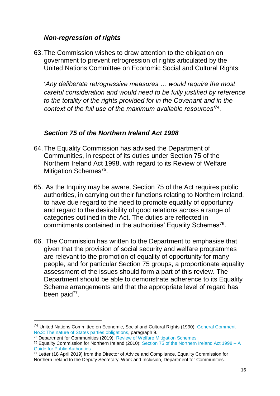#### *Non-regression of rights*

63.The Commission wishes to draw attention to the obligation on government to prevent retrogression of rights articulated by the United Nations Committee on Economic Social and Cultural Rights:

'*Any deliberate retrogressive measures … would require the most careful consideration and would need to be fully justified by reference to the totality of the rights provided for in the Covenant and in the context of the full use of the maximum available resources'<sup>74</sup> .*

#### *Section 75 of the Northern Ireland Act 1998*

- 64.The Equality Commission has advised the Department of Communities, in respect of its duties under Section 75 of the Northern Ireland Act 1998, with regard to its Review of Welfare Mitigation Schemes<sup>75</sup>.
- 65. As the Inquiry may be aware, Section 75 of the Act requires public authorities, in carrying out their functions relating to Northern Ireland, to have due regard to the need to promote equality of opportunity and regard to the desirability of good relations across a range of categories outlined in the Act. The duties are reflected in commitments contained in the authorities' Equality Schemes<sup>76</sup>.
- 66. The Commission has written to the Department to emphasise that given that the provision of social security and welfare programmes are relevant to the promotion of equality of opportunity for many people, and for particular Section 75 groups, a proportionate equality assessment of the issues should form a part of this review. The Department should be able to demonstrate adherence to its Equality Scheme arrangements and that the appropriate level of regard has been paid<sup>77</sup>.

**.** 

<sup>74</sup> United Nations Committee on Economic, Social and Cultural Rights (1990): [General Comment](https://tbinternet.ohchr.org/_layouts/15/treatybodyexternal/Download.aspx?symbolno=INT%2fCESCR%2fGEC%2f4758&Lang=en)  [No.3: The nature of States parties obligations,](https://tbinternet.ohchr.org/_layouts/15/treatybodyexternal/Download.aspx?symbolno=INT%2fCESCR%2fGEC%2f4758&Lang=en) paragraph 9.

<sup>75</sup> Department for Communities (2019): [Review of Welfare Mitigation Schemes](https://www.communities-ni.gov.uk/system/files/publications/communities/dfc-review-of-welfare-mitigation-schemes-2019.pdf)

<sup>76</sup> Equality Commission for Northern Ireland (2010): [Section 75 of the Northern Ireland Act 1998 –](http://www.equalityni.org/ECNI/media/ECNI/Publications/Employers%20and%20Service%20Providers/S75GuideforPublicAuthoritiesApril2010.pdf) A [Guide for Public Authorities.](http://www.equalityni.org/ECNI/media/ECNI/Publications/Employers%20and%20Service%20Providers/S75GuideforPublicAuthoritiesApril2010.pdf)

<sup>77</sup> Letter (18 April 2019) from the Director of Advice and Compliance, Equality Commission for Northern Ireland to the Deputy Secretary, Work and Inclusion, Department for Communities.